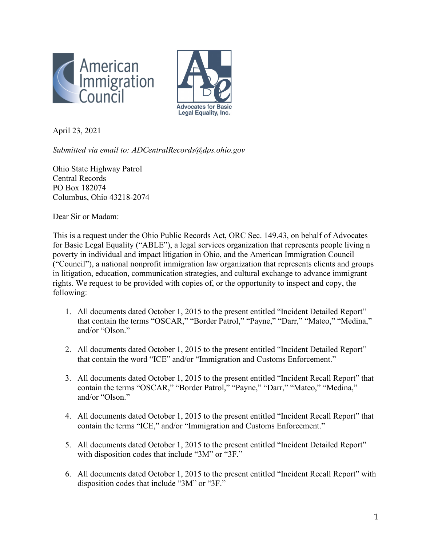



April 23, 2021

*Submitted via email to: ADCentralRecords@dps.ohio.gov*

Ohio State Highway Patrol Central Records PO Box 182074 Columbus, Ohio 43218-2074

Dear Sir or Madam:

This is a request under the Ohio Public Records Act, ORC Sec. 149.43, on behalf of Advocates for Basic Legal Equality ("ABLE"), a legal services organization that represents people living n poverty in individual and impact litigation in Ohio, and the American Immigration Council ("Council"), a national nonprofit immigration law organization that represents clients and groups in litigation, education, communication strategies, and cultural exchange to advance immigrant rights. We request to be provided with copies of, or the opportunity to inspect and copy, the following:

- 1. All documents dated October 1, 2015 to the present entitled "Incident Detailed Report" that contain the terms "OSCAR," "Border Patrol," "Payne," "Darr," "Mateo," "Medina," and/or "Olson."
- 2. All documents dated October 1, 2015 to the present entitled "Incident Detailed Report" that contain the word "ICE" and/or "Immigration and Customs Enforcement."
- 3. All documents dated October 1, 2015 to the present entitled "Incident Recall Report" that contain the terms "OSCAR," "Border Patrol," "Payne," "Darr," "Mateo," "Medina," and/or "Olson."
- 4. All documents dated October 1, 2015 to the present entitled "Incident Recall Report" that contain the terms "ICE," and/or "Immigration and Customs Enforcement."
- 5. All documents dated October 1, 2015 to the present entitled "Incident Detailed Report" with disposition codes that include "3M" or "3F."
- 6. All documents dated October 1, 2015 to the present entitled "Incident Recall Report" with disposition codes that include "3M" or "3F."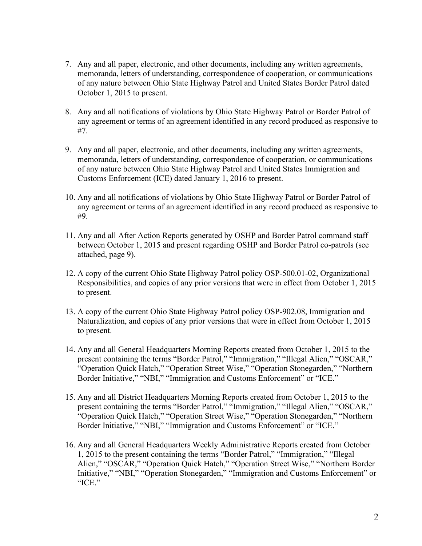- 7. Any and all paper, electronic, and other documents, including any written agreements, memoranda, letters of understanding, correspondence of cooperation, or communications of any nature between Ohio State Highway Patrol and United States Border Patrol dated October 1, 2015 to present.
- 8. Any and all notifications of violations by Ohio State Highway Patrol or Border Patrol of any agreement or terms of an agreement identified in any record produced as responsive to #7.
- 9. Any and all paper, electronic, and other documents, including any written agreements, memoranda, letters of understanding, correspondence of cooperation, or communications of any nature between Ohio State Highway Patrol and United States Immigration and Customs Enforcement (ICE) dated January 1, 2016 to present.
- 10. Any and all notifications of violations by Ohio State Highway Patrol or Border Patrol of any agreement or terms of an agreement identified in any record produced as responsive to #9.
- 11. Any and all After Action Reports generated by OSHP and Border Patrol command staff between October 1, 2015 and present regarding OSHP and Border Patrol co-patrols (see attached, page 9).
- 12. A copy of the current Ohio State Highway Patrol policy OSP-500.01-02, Organizational Responsibilities, and copies of any prior versions that were in effect from October 1, 2015 to present.
- 13. A copy of the current Ohio State Highway Patrol policy OSP-902.08, Immigration and Naturalization, and copies of any prior versions that were in effect from October 1, 2015 to present.
- 14. Any and all General Headquarters Morning Reports created from October 1, 2015 to the present containing the terms "Border Patrol," "Immigration," "Illegal Alien," "OSCAR," "Operation Quick Hatch," "Operation Street Wise," "Operation Stonegarden," "Northern Border Initiative," "NBI," "Immigration and Customs Enforcement" or "ICE."
- 15. Any and all District Headquarters Morning Reports created from October 1, 2015 to the present containing the terms "Border Patrol," "Immigration," "Illegal Alien," "OSCAR," "Operation Quick Hatch," "Operation Street Wise," "Operation Stonegarden," "Northern Border Initiative," "NBI," "Immigration and Customs Enforcement" or "ICE."
- 16. Any and all General Headquarters Weekly Administrative Reports created from October 1, 2015 to the present containing the terms "Border Patrol," "Immigration," "Illegal Alien," "OSCAR," "Operation Quick Hatch," "Operation Street Wise," "Northern Border Initiative," "NBI," "Operation Stonegarden," "Immigration and Customs Enforcement" or "ICE."